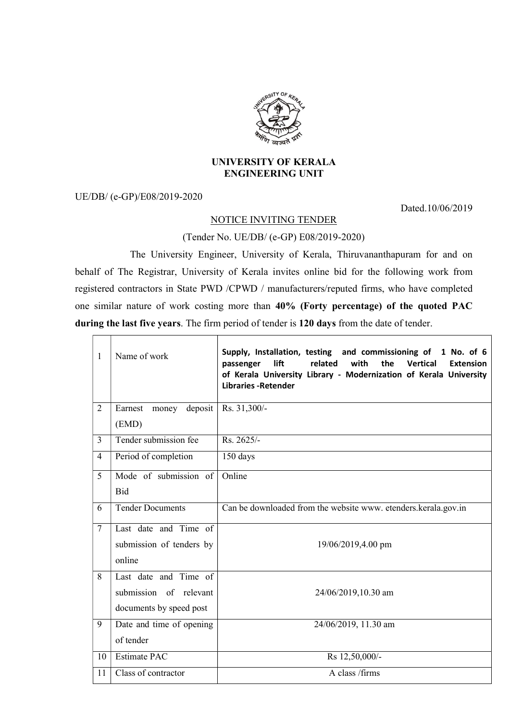

## UNIVERSITY OF KERALA ENGINEERING UNIT

UE/DB/ (e-GP)/E08/2019-2020

Dated.10/06/2019

## NOTICE INVITING TENDER

(Tender No. UE/DB/ (e-GP) E08/2019-2020)

 The University Engineer, University of Kerala, Thiruvananthapuram for and on behalf of The Registrar, University of Kerala invites online bid for the following work from registered contractors in State PWD /CPWD / manufacturers/reputed firms, who have completed one similar nature of work costing more than 40% (Forty percentage) of the quoted PAC during the last five years. The firm period of tender is 120 days from the date of tender.

| $\mathbf{1}$   | Name of work             | Supply, Installation, testing and commissioning of 1 No. of 6<br>lift<br>related<br>with<br><b>Vertical</b><br>the<br>passenger<br><b>Extension</b><br>of Kerala University Library - Modernization of Kerala University<br><b>Libraries - Retender</b> |
|----------------|--------------------------|---------------------------------------------------------------------------------------------------------------------------------------------------------------------------------------------------------------------------------------------------------|
| $\overline{2}$ | Earnest money deposit    | Rs. 31,300/-                                                                                                                                                                                                                                            |
|                | (EMD)                    |                                                                                                                                                                                                                                                         |
| $\overline{3}$ | Tender submission fee    | Rs. 2625/-                                                                                                                                                                                                                                              |
| $\overline{4}$ | Period of completion     | 150 days                                                                                                                                                                                                                                                |
| 5              | Mode of submission of    | Online                                                                                                                                                                                                                                                  |
|                | <b>Bid</b>               |                                                                                                                                                                                                                                                         |
| 6              | <b>Tender Documents</b>  | Can be downloaded from the website www. etenders.kerala.gov.in                                                                                                                                                                                          |
| $\overline{7}$ | Last date and Time of    |                                                                                                                                                                                                                                                         |
|                | submission of tenders by | 19/06/2019,4.00 pm                                                                                                                                                                                                                                      |
|                | online                   |                                                                                                                                                                                                                                                         |
| 8              | Last date and Time of    |                                                                                                                                                                                                                                                         |
|                | submission of relevant   | 24/06/2019,10.30 am                                                                                                                                                                                                                                     |
|                | documents by speed post  |                                                                                                                                                                                                                                                         |
| 9              | Date and time of opening | 24/06/2019, 11.30 am                                                                                                                                                                                                                                    |
|                | of tender                |                                                                                                                                                                                                                                                         |
| 10             | <b>Estimate PAC</b>      | Rs 12,50,000/-                                                                                                                                                                                                                                          |
| 11             | Class of contractor      | A class /firms                                                                                                                                                                                                                                          |